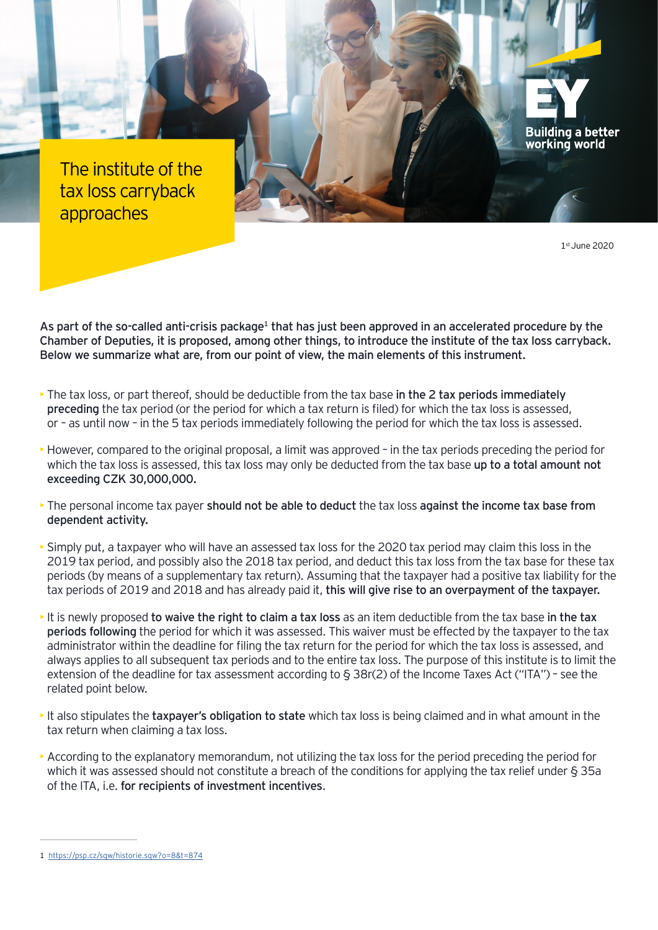The institute of the tax loss carryback approaches

1st June 2020

**Building a better** working world

As part of the so-called anti-crisis package<sup>1</sup> that has just been approved in an accelerated procedure by the Chamber of Deputies, it is proposed, among other things, to introduce the institute of the tax loss carryback. Below we summarize what are, from our point of view, the main elements of this instrument.

- The tax loss, or part thereof, should be deductible from the tax base in the 2 tax periods immediately preceding the tax period (or the period for which a tax return is filed) for which the tax loss is assessed, or – as until now – in the 5 tax periods immediately following the period for which the tax loss is assessed.
- However, compared to the original proposal, a limit was approved in the tax periods preceding the period for which the tax loss is assessed, this tax loss may only be deducted from the tax base up to a total amount not exceeding CZK 30,000,000.
- The personal income tax payer should not be able to deduct the tax loss against the income tax base from dependent activity.
- Simply put, a taxpayer who will have an assessed tax loss for the 2020 tax period may claim this loss in the 2019 tax period, and possibly also the 2018 tax period, and deduct this tax loss from the tax base for these tax periods (by means of a supplementary tax return). Assuming that the taxpayer had a positive tax liability for the tax periods of 2019 and 2018 and has already paid it, this will give rise to an overpayment of the taxpayer.
- It is newly proposed to waive the right to claim a tax loss as an item deductible from the tax base in the tax periods following the period for which it was assessed. This waiver must be effected by the taxpayer to the tax administrator within the deadline for filing the tax return for the period for which the tax loss is assessed, and always applies to all subsequent tax periods and to the entire tax loss. The purpose of this institute is to limit the extension of the deadline for tax assessment according to § 38r(2) of the Income Taxes Act ("ITA") – see the related point below.
- It also stipulates the taxpayer's obligation to state which tax loss is being claimed and in what amount in the tax return when claiming a tax loss.
- According to the explanatory memorandum, not utilizing the tax loss for the period preceding the period for which it was assessed should not constitute a breach of the conditions for applying the tax relief under § 35a of the ITA, i.e. for recipients of investment incentives.

<sup>1</sup> <https://psp.cz/sqw/historie.sqw?o=8&t=874>